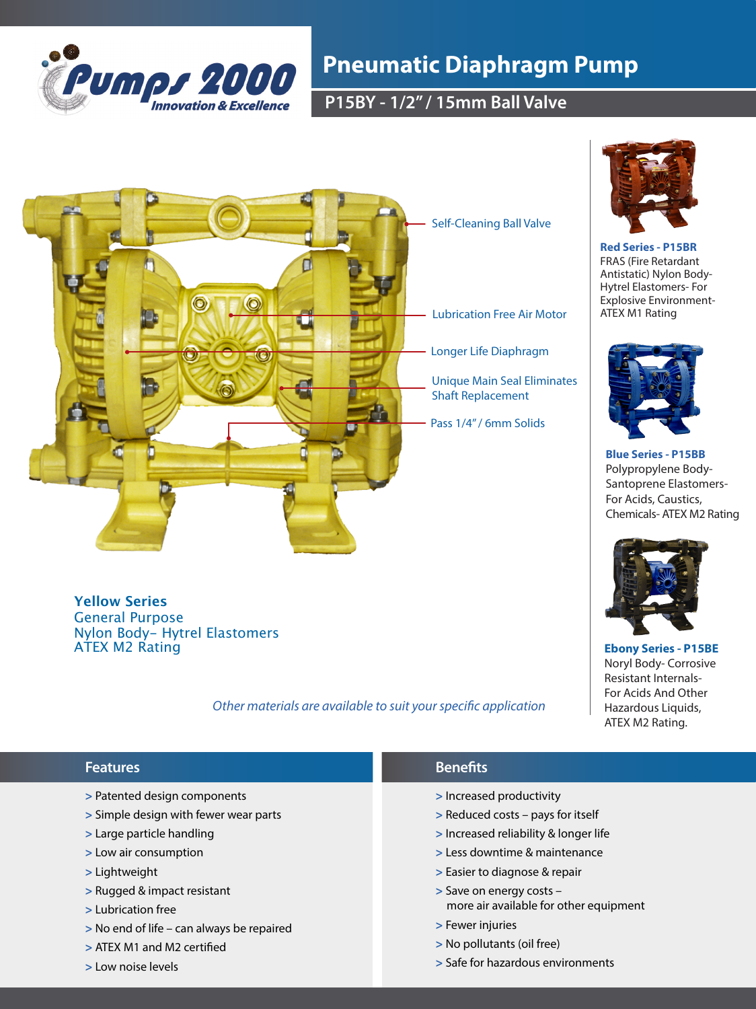

## **Pneumatic Diaphragm Pump**

**P15BY - 1/2" / 15mm Ball Valve** 



**Red Series - P15BR**  FRAS (Fire Retardant Antistatic) Nylon Body-Hytrel Elastomers- For Explosive Environment-ATEX M1 Rating



**Blue Series - P15BB** Polypropylene Body-Santoprene Elastomers-For Acids, Caustics, Chemicals- ATEX M2 Rating



**Ebony Series - P15BE**  Noryl Body- Corrosive Resistant Internals-For Acids And Other Hazardous Liquids, ATEX M2 Rating.

### **Yellow Series**  General Purpose Nylon Body- Hytrel Elastomers ATEX M2 Rating

## *Other materials are available to suit your specific application*

- **>** Patented design components
- **>** Simple design with fewer wear parts
- **>** Large particle handling
- **>** Low air consumption
- **>** Lightweight
- **>** Rugged & impact resistant
- **>** Lubrication free
- **>** No end of life can always be repaired
- **>** ATEX M1 and M2 certified
- **>** Low noise levels
- **Features Benefits** 
	- **>** Increased productivity
	- **>** Reduced costs pays for itself
	- **>** Increased reliability & longer life
	- **>** Less downtime & maintenance
	- **>** Easier to diagnose & repair
	- **>** Save on energy costs more air available for other equipment
	- **>** Fewer injuries
	- **>** No pollutants (oil free)
	- **>** Safe for hazardous environments